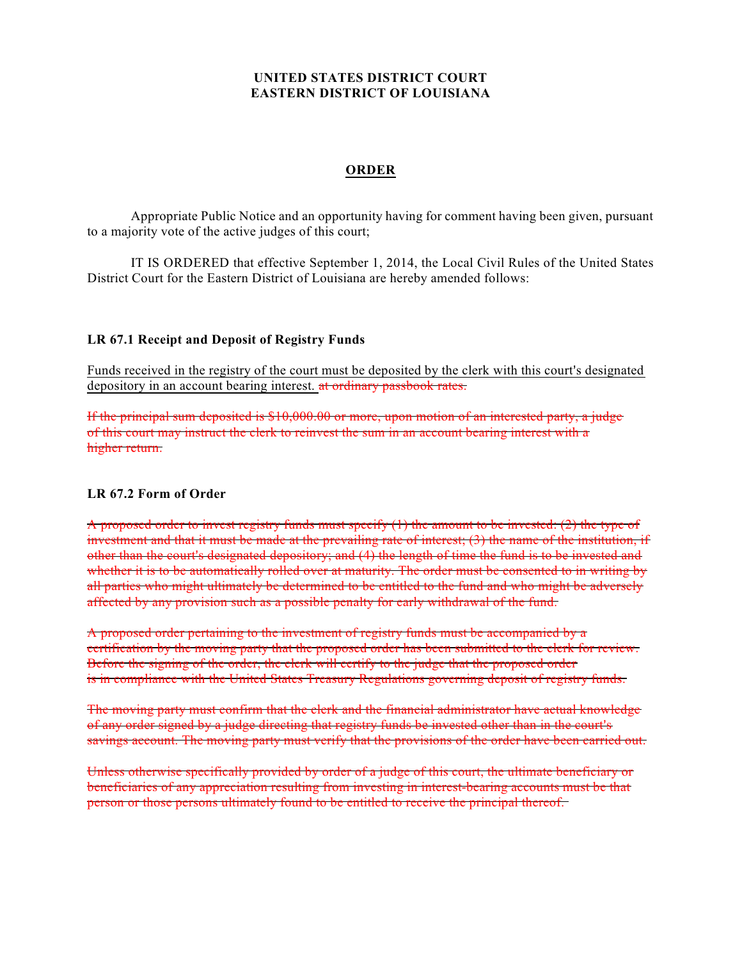## **UNITED STATES DISTRICT COURT EASTERN DISTRICT OF LOUISIANA**

## **ORDER**

Appropriate Public Notice and an opportunity having for comment having been given, pursuant to a majority vote of the active judges of this court;

IT IS ORDERED that effective September 1, 2014, the Local Civil Rules of the United States District Court for the Eastern District of Louisiana are hereby amended follows:

## **LR 67.1 Receipt and Deposit of Registry Funds**

Funds received in the registry of the court must be deposited by the clerk with this court's designated depository in an account bearing interest. at ordinary passbook rates.

If the principal sum deposited is \$10,000.00 or more, upon motion of an interested party, a judge of this court may instruct the clerk to reinvest the sum in an account bearing interest with a higher return.

## **LR 67.2 Form of Order**

A proposed order to invest registry funds must specify  $(1)$  the amount to be invested:  $(2)$  the type of investment and that it must be made at the prevailing rate of interest; (3) the name of the institution, if other than the court's designated depository; and (4) the length of time the fund is to be invested and whether it is to be automatically rolled over at maturity. The order must be consented to in writing by all parties who might ultimately be determined to be entitled to the fund and who might be adversely affected by any provision such as a possible penalty for early withdrawal of the fund.

A proposed order pertaining to the investment of registry funds must be accompanied by a certification by the moving party that the proposed order has been submitted to the clerk for review. Before the signing of the order, the clerk will certify to the judge that the proposed order is in compliance with the United States Treasury Regulations governing deposit of registry funds.

The moving party must confirm that the clerk and the financial administrator have actual knowledge of any order signed by a judge directing that registry funds be invested other than in the court's savings account. The moving party must verify that the provisions of the order have been carried out.

Unless otherwise specifically provided by order of a judge of this court, the ultimate beneficiary or beneficiaries of any appreciation resulting from investing in interest-bearing accounts must be that person or those persons ultimately found to be entitled to receive the principal thereof.